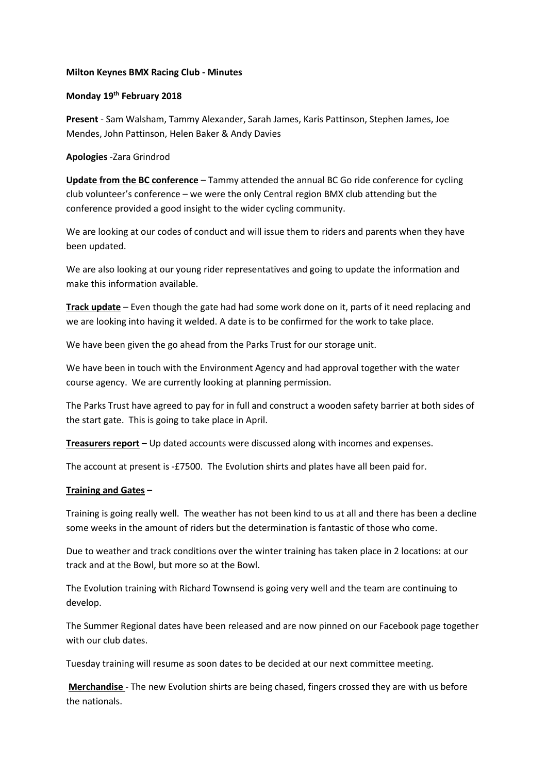## **Milton Keynes BMX Racing Club - Minutes**

## **Monday 19th February 2018**

**Present** - Sam Walsham, Tammy Alexander, Sarah James, Karis Pattinson, Stephen James, Joe Mendes, John Pattinson, Helen Baker & Andy Davies

## **Apologies** -Zara Grindrod

**Update from the BC conference** – Tammy attended the annual BC Go ride conference for cycling club volunteer's conference – we were the only Central region BMX club attending but the conference provided a good insight to the wider cycling community.

We are looking at our codes of conduct and will issue them to riders and parents when they have been updated.

We are also looking at our young rider representatives and going to update the information and make this information available.

**Track update** – Even though the gate had had some work done on it, parts of it need replacing and we are looking into having it welded. A date is to be confirmed for the work to take place.

We have been given the go ahead from the Parks Trust for our storage unit.

We have been in touch with the Environment Agency and had approval together with the water course agency. We are currently looking at planning permission.

The Parks Trust have agreed to pay for in full and construct a wooden safety barrier at both sides of the start gate. This is going to take place in April.

**Treasurers report** – Up dated accounts were discussed along with incomes and expenses.

The account at present is -£7500. The Evolution shirts and plates have all been paid for.

## **Training and Gates –**

Training is going really well. The weather has not been kind to us at all and there has been a decline some weeks in the amount of riders but the determination is fantastic of those who come.

Due to weather and track conditions over the winter training has taken place in 2 locations: at our track and at the Bowl, but more so at the Bowl.

The Evolution training with Richard Townsend is going very well and the team are continuing to develop.

The Summer Regional dates have been released and are now pinned on our Facebook page together with our club dates.

Tuesday training will resume as soon dates to be decided at our next committee meeting.

**Merchandise** - The new Evolution shirts are being chased, fingers crossed they are with us before the nationals.